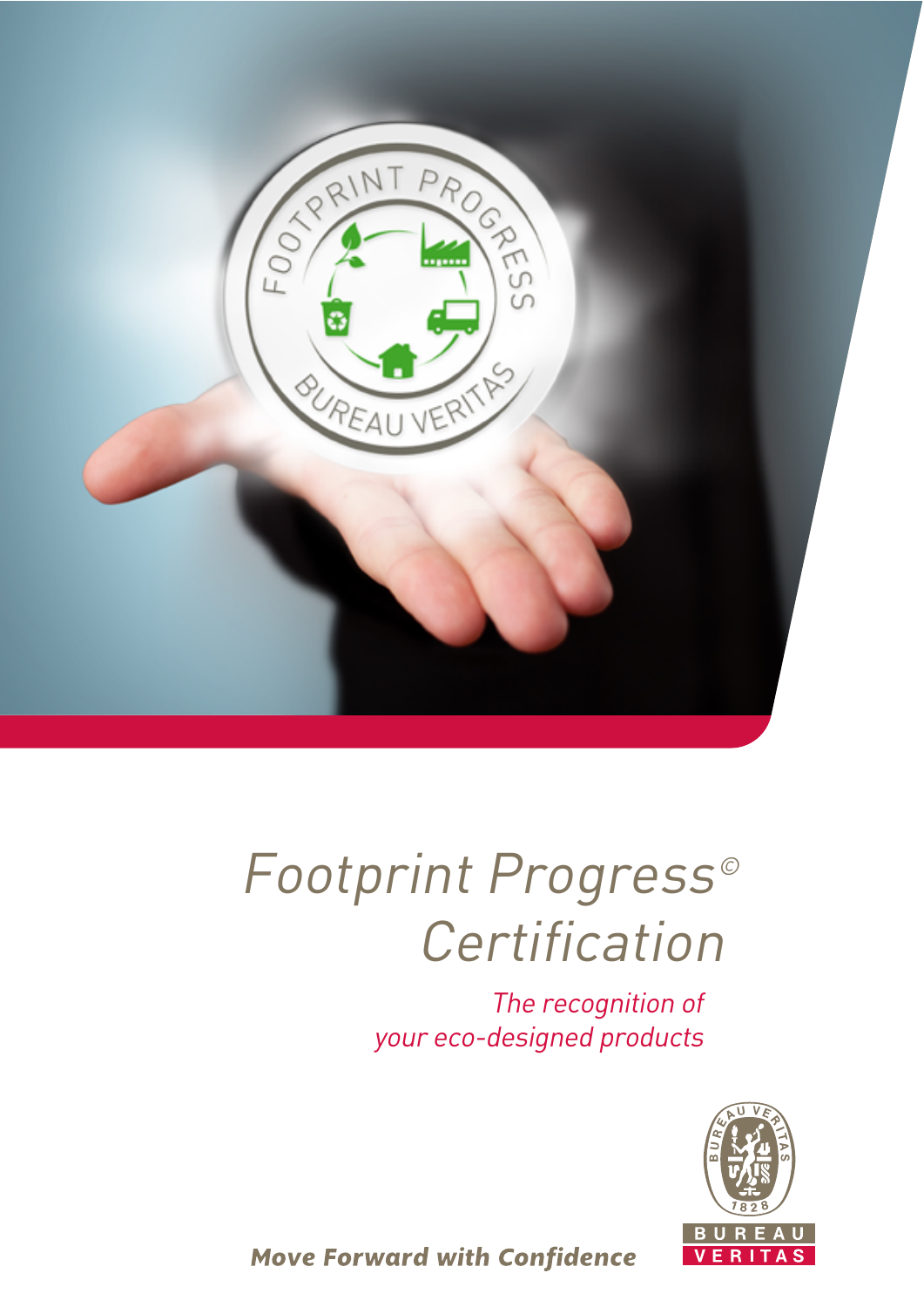

# Footprint Progress© Certification

The recognition of your eco-designed products



**Move Forward with Confidence**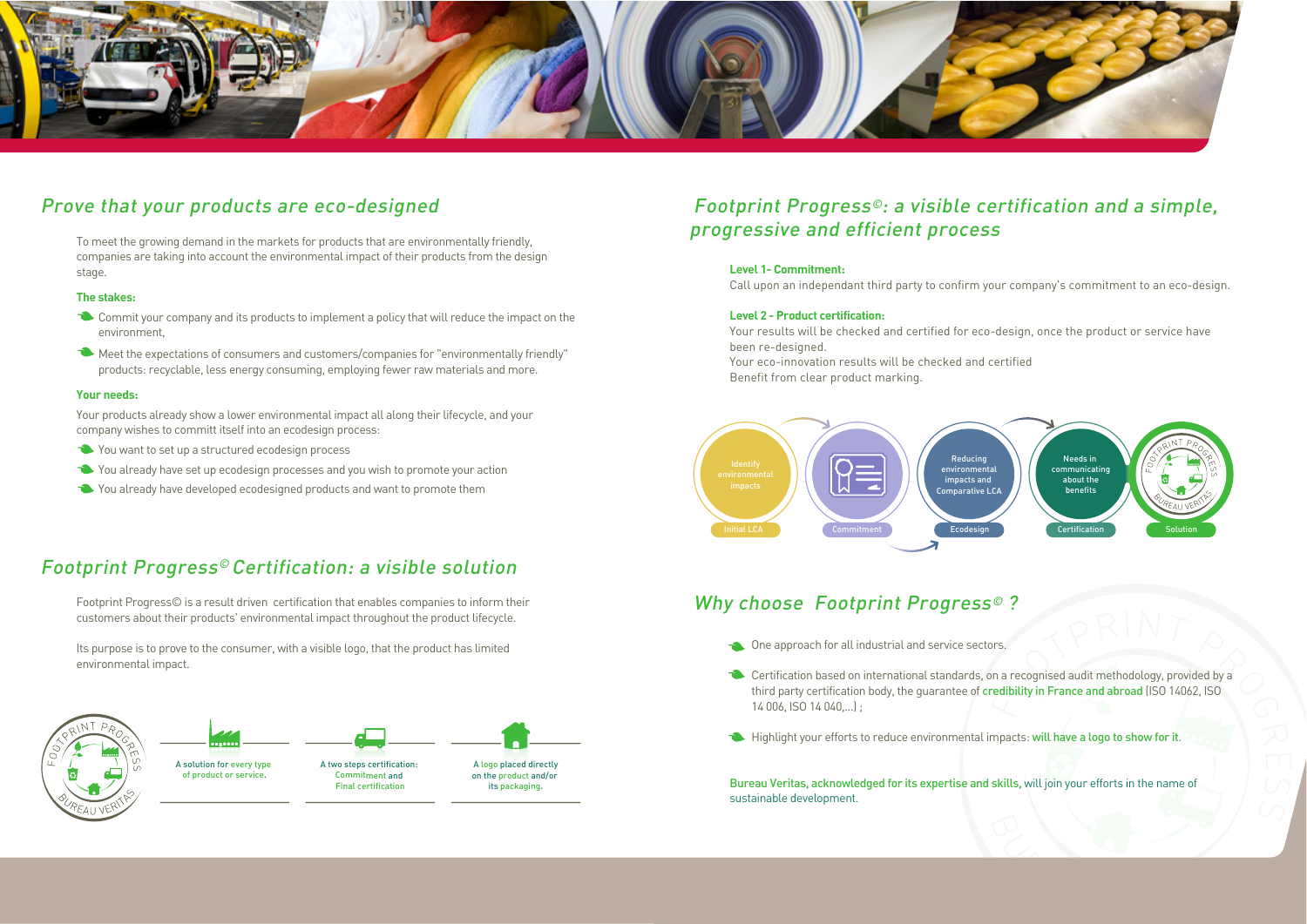To meet the growing demand in the markets for products that are environmentally friendly, companies are taking into account the environmental impact of their products from the design stage.

#### **The stakes:**

- Commit your company and its products to implement a policy that will reduce the impact on the environment,
- Meet the expectations of consumers and customers/companies for "environmentally friendly" products: recyclable, less energy consuming, employing fewer raw materials and more.

#### **Your needs:**

Your products already show a lower environmental impact all along their lifecycle, and your company wishes to committ itself into an ecodesign process:

- You want to set up a structured ecodesign process
- You already have set up ecodesign processes and you wish to promote your action
- You already have developed ecodesigned products and want to promote them



## Prove that your products are eco-designed

Footprint Progress© is a result driven certification that enables companies to inform their customers about their products' environmental impact throughout the product lifecycle.

Its purpose is to prove to the consumer, with a visible logo, that the product has limited environmental impact.





# Footprint Progress© Certification: a visible solution

### **Level 1- Commitment:**

Call upon an independant third party to confirm your company's commitment to an eco-design.

#### **Level 2 - Product certification:**

Your results will be checked and certified for eco-design, once the product or service have been re-designed.

Your eco-innovation results will be checked and certified Benefit from clear product marking.





# Why choose Footprint Progress<sup>®</sup>?

- One approach for all industrial and service sectors.
- Certification based on international standards, on a recognised audit methodology, provided by a third party certification body, the guarantee of credibility in France and abroad (ISO 14062, ISO 14 006, ISO 14 040,...) ;
- Highlight your efforts to reduce environmental impacts: will have a logo to show for it.

Bureau Veritas, acknowledged for its expertise and skills, will join your efforts in the name of sustainable development.

A solution for every type of product or service.





its packaging.